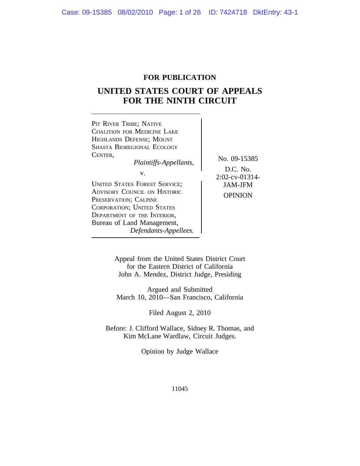### **FOR PUBLICATION**

### **UNITED STATES COURT OF APPEALS FOR THE NINTH CIRCUIT**



Appeal from the United States District Court for the Eastern District of California John A. Mendez, District Judge, Presiding

Argued and Submitted March 10, 2010—San Francisco, California

Filed August 2, 2010

Before: J. Clifford Wallace, Sidney R. Thomas, and Kim McLane Wardlaw, Circuit Judges.

Opinion by Judge Wallace

11045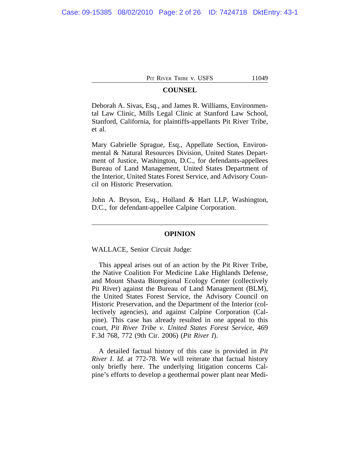### **COUNSEL**

Deborah A. Sivas, Esq., and James R. Williams, Environmental Law Clinic, Mills Legal Clinic at Stanford Law School, Stanford, California, for plaintiffs-appellants Pit River Tribe, et al.

Mary Gabrielle Sprague, Esq., Appellate Section, Environmental & Natural Resources Division, United States Department of Justice, Washington, D.C., for defendants-appellees Bureau of Land Management, United States Department of the Interior, United States Forest Service, and Advisory Council on Historic Preservation.

John A. Bryson, Esq., Holland & Hart LLP, Washington, D.C., for defendant-appellee Calpine Corporation.

#### **OPINION**

WALLACE, Senior Circuit Judge:

This appeal arises out of an action by the Pit River Tribe, the Native Coalition For Medicine Lake Highlands Defense, and Mount Shasta Bioregional Ecology Center (collectively Pit River) against the Bureau of Land Management (BLM), the United States Forest Service, the Advisory Council on Historic Preservation, and the Department of the Interior (collectively agencies), and against Calpine Corporation (Calpine). This case has already resulted in one appeal to this court, *Pit River Tribe v. United States Forest Service*, 469 F.3d 768, 772 (9th Cir. 2006) (*Pit River I*).

A detailed factual history of this case is provided in *Pit River I*. *Id*. at 772-78. We will reiterate that factual history only briefly here. The underlying litigation concerns Calpine's efforts to develop a geothermal power plant near Medi-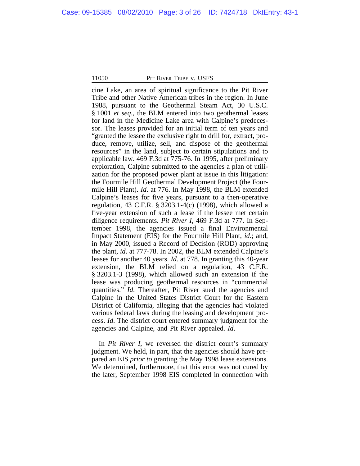cine Lake, an area of spiritual significance to the Pit River Tribe and other Native American tribes in the region. In June 1988, pursuant to the Geothermal Steam Act, 30 U.S.C. § 1001 *et seq*., the BLM entered into two geothermal leases for land in the Medicine Lake area with Calpine's predecessor. The leases provided for an initial term of ten years and "granted the lessee the exclusive right to drill for, extract, produce, remove, utilize, sell, and dispose of the geothermal resources" in the land, subject to certain stipulations and to applicable law. 469 F.3d at 775-76. In 1995, after preliminary exploration, Calpine submitted to the agencies a plan of utilization for the proposed power plant at issue in this litigation: the Fourmile Hill Geothermal Development Project (the Fourmile Hill Plant). *Id*. at 776. In May 1998, the BLM extended Calpine's leases for five years, pursuant to a then-operative regulation, 43 C.F.R. § 3203.1-4(c) (1998), which allowed a five-year extension of such a lease if the lessee met certain diligence requirements. *Pit River I*, 469 F.3d at 777. In September 1998, the agencies issued a final Environmental Impact Statement (EIS) for the Fourmile Hill Plant, *id*.; and, in May 2000, issued a Record of Decision (ROD) approving the plant, *id*. at 777-78. In 2002, the BLM extended Calpine's leases for another 40 years. *Id*. at 778. In granting this 40-year extension, the BLM relied on a regulation, 43 C.F.R. § 3203.1-3 (1998), which allowed such an extension if the lease was producing geothermal resources in "commercial quantities." *Id*. Thereafter, Pit River sued the agencies and Calpine in the United States District Court for the Eastern District of California, alleging that the agencies had violated various federal laws during the leasing and development process. *Id*. The district court entered summary judgment for the agencies and Calpine, and Pit River appealed. *Id*.

In *Pit River I*, we reversed the district court's summary judgment. We held, in part, that the agencies should have prepared an EIS *prior to* granting the May 1998 lease extensions. We determined, furthermore, that this error was not cured by the later, September 1998 EIS completed in connection with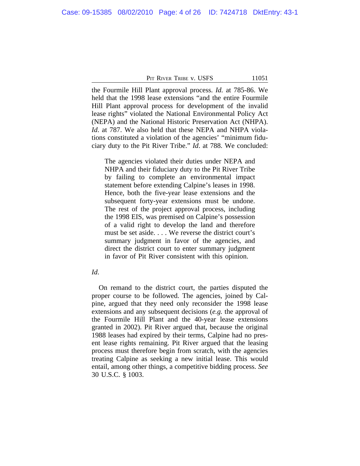the Fourmile Hill Plant approval process. *Id.* at 785-86. We held that the 1998 lease extensions "and the entire Fourmile Hill Plant approval process for development of the invalid lease rights" violated the National Environmental Policy Act (NEPA) and the National Historic Preservation Act (NHPA). *Id*. at 787. We also held that these NEPA and NHPA violations constituted a violation of the agencies' "minimum fiduciary duty to the Pit River Tribe." *Id*. at 788. We concluded:

The agencies violated their duties under NEPA and NHPA and their fiduciary duty to the Pit River Tribe by failing to complete an environmental impact statement before extending Calpine's leases in 1998. Hence, both the five-year lease extensions and the subsequent forty-year extensions must be undone. The rest of the project approval process, including the 1998 EIS, was premised on Calpine's possession of a valid right to develop the land and therefore must be set aside. . . . We reverse the district court's summary judgment in favor of the agencies, and direct the district court to enter summary judgment in favor of Pit River consistent with this opinion.

### *Id*.

On remand to the district court, the parties disputed the proper course to be followed. The agencies, joined by Calpine, argued that they need only reconsider the 1998 lease extensions and any subsequent decisions (*e.g.* the approval of the Fourmile Hill Plant and the 40-year lease extensions granted in 2002). Pit River argued that, because the original 1988 leases had expired by their terms, Calpine had no present lease rights remaining. Pit River argued that the leasing process must therefore begin from scratch, with the agencies treating Calpine as seeking a new initial lease. This would entail, among other things, a competitive bidding process. *See* 30 U.S.C. § 1003.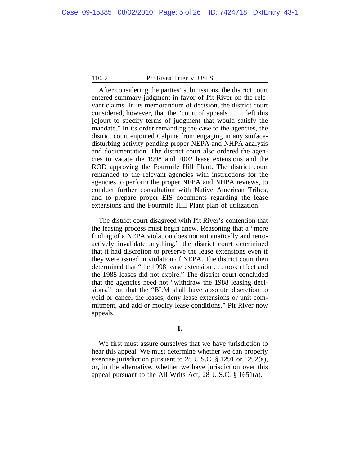After considering the parties' submissions, the district court entered summary judgment in favor of Pit River on the relevant claims. In its memorandum of decision, the district court considered, however, that the "court of appeals . . . . left this [c]ourt to specify terms of judgment that would satisfy the mandate." In its order remanding the case to the agencies, the district court enjoined Calpine from engaging in any surfacedisturbing activity pending proper NEPA and NHPA analysis and documentation. The district court also ordered the agencies to vacate the 1998 and 2002 lease extensions and the ROD approving the Fourmile Hill Plant. The district court remanded to the relevant agencies with instructions for the agencies to perform the proper NEPA and NHPA reviews, to conduct further consultation with Native American Tribes, and to prepare proper EIS documents regarding the lease extensions and the Fourmile Hill Plant plan of utilization.

The district court disagreed with Pit River's contention that the leasing process must begin anew. Reasoning that a "mere finding of a NEPA violation does not automatically and retroactively invalidate anything," the district court determined that it had discretion to preserve the lease extensions even if they were issued in violation of NEPA. The district court then determined that "the 1998 lease extension . . . took effect and the 1988 leases did not expire." The district court concluded that the agencies need not "withdraw the 1988 leasing decisions," but that the "BLM shall have absolute discretion to void or cancel the leases, deny lease extensions or unit commitment, and add or modify lease conditions." Pit River now appeals.

We first must assure ourselves that we have jurisdiction to hear this appeal. We must determine whether we can properly exercise jurisdiction pursuant to 28 U.S.C. § 1291 or 1292(a), or, in the alternative, whether we have jurisdiction over this appeal pursuant to the All Writs Act, 28 U.S.C. § 1651(a).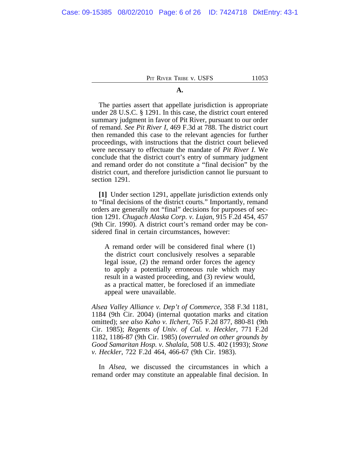### **A.**

The parties assert that appellate jurisdiction is appropriate under 28 U.S.C. § 1291. In this case, the district court entered summary judgment in favor of Pit River, pursuant to our order of remand. *See Pit River I*, 469 F.3d at 788. The district court then remanded this case to the relevant agencies for further proceedings, with instructions that the district court believed were necessary to effectuate the mandate of *Pit River I*. We conclude that the district court's entry of summary judgment and remand order do not constitute a "final decision" by the district court, and therefore jurisdiction cannot lie pursuant to section 1291.

**[1]** Under section 1291, appellate jurisdiction extends only to "final decisions of the district courts." Importantly, remand orders are generally not "final" decisions for purposes of section 1291. *Chugach Alaska Corp. v. Lujan*, 915 F.2d 454, 457 (9th Cir. 1990). A district court's remand order may be considered final in certain circumstances, however:

A remand order will be considered final where (1) the district court conclusively resolves a separable legal issue, (2) the remand order forces the agency to apply a potentially erroneous rule which may result in a wasted proceeding, and (3) review would, as a practical matter, be foreclosed if an immediate appeal were unavailable.

*Alsea Valley Alliance v. Dep't of Commerce*, 358 F.3d 1181, 1184 (9th Cir. 2004) (internal quotation marks and citation omitted); *see also Kaho v. Ilchert*, 765 F.2d 877, 880-81 (9th Cir. 1985); *Regents of Univ. of Cal. v. Heckler*, 771 F.2d 1182, 1186-87 (9th Cir. 1985) (*overruled on other grounds by Good Samaritan Hosp. v. Shalala*, 508 U.S. 402 (1993); *Stone v. Heckler*, 722 F.2d 464, 466-67 (9th Cir. 1983).

In *Alsea*, we discussed the circumstances in which a remand order may constitute an appealable final decision. In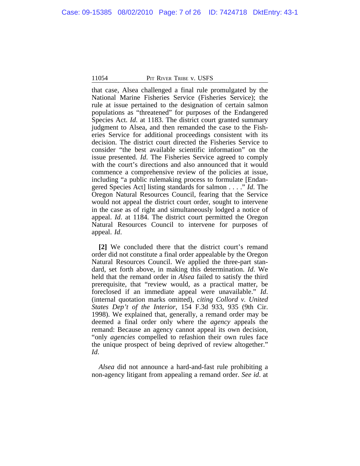that case, Alsea challenged a final rule promulgated by the National Marine Fisheries Service (Fisheries Service); the rule at issue pertained to the designation of certain salmon populations as "threatened" for purposes of the Endangered Species Act. *Id.* at 1183. The district court granted summary judgment to Alsea, and then remanded the case to the Fisheries Service for additional proceedings consistent with its decision. The district court directed the Fisheries Service to consider "the best available scientific information" on the issue presented. *Id*. The Fisheries Service agreed to comply with the court's directions and also announced that it would commence a comprehensive review of the policies at issue, including "a public rulemaking process to formulate [Endangered Species Act] listing standards for salmon . . . ." *Id*. The Oregon Natural Resources Council, fearing that the Service would not appeal the district court order, sought to intervene in the case as of right and simultaneously lodged a notice of appeal. *Id*. at 1184. The district court permitted the Oregon Natural Resources Council to intervene for purposes of appeal. *Id*.

**[2]** We concluded there that the district court's remand order did not constitute a final order appealable by the Oregon Natural Resources Council. We applied the three-part standard, set forth above, in making this determination. *Id*. We held that the remand order in *Alsea* failed to satisfy the third prerequisite, that "review would, as a practical matter, be foreclosed if an immediate appeal were unavailable." *Id*. (internal quotation marks omitted), *citing Collord v. United States Dep't of the Interior*, 154 F.3d 933, 935 (9th Cir. 1998). We explained that, generally, a remand order may be deemed a final order only where the *agency* appeals the remand: Because an agency cannot appeal its own decision, "only *agencies* compelled to refashion their own rules face the unique prospect of being deprived of review altogether." *Id*.

*Alsea* did not announce a hard-and-fast rule prohibiting a non-agency litigant from appealing a remand order. *See id*. at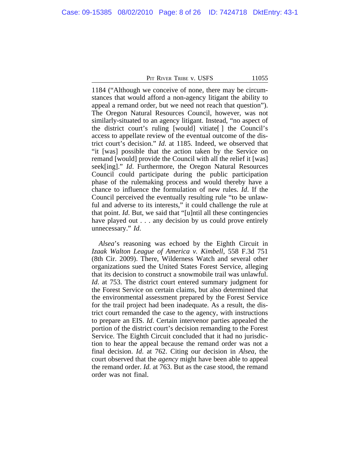1184 ("Although we conceive of none, there may be circumstances that would afford a non-agency litigant the ability to appeal a remand order, but we need not reach that question"). The Oregon Natural Resources Council, however, was not similarly-situated to an agency litigant. Instead, "no aspect of the district court's ruling [would] vitiate[ ] the Council's access to appellate review of the eventual outcome of the district court's decision." *Id*. at 1185. Indeed, we observed that "it [was] possible that the action taken by the Service on remand [would] provide the Council with all the relief it [was] seek[ing]." *Id*. Furthermore, the Oregon Natural Resources Council could participate during the public participation phase of the rulemaking process and would thereby have a chance to influence the formulation of new rules. *Id*. If the Council perceived the eventually resulting rule "to be unlawful and adverse to its interests," it could challenge the rule at that point. *Id*. But, we said that "[u]ntil all these contingencies have played out . . . any decision by us could prove entirely unnecessary." *Id*.

*Alsea*'s reasoning was echoed by the Eighth Circuit in *Izaak Walton League of America v. Kimbell*, 558 F.3d 751 (8th Cir. 2009). There, Wilderness Watch and several other organizations sued the United States Forest Service, alleging that its decision to construct a snowmobile trail was unlawful. *Id.* at 753. The district court entered summary judgment for the Forest Service on certain claims, but also determined that the environmental assessment prepared by the Forest Service for the trail project had been inadequate. As a result, the district court remanded the case to the agency, with instructions to prepare an EIS. *Id*. Certain intervenor parties appealed the portion of the district court's decision remanding to the Forest Service. The Eighth Circuit concluded that it had no jurisdiction to hear the appeal because the remand order was not a final decision. *Id*. at 762. Citing our decision in *Alsea*, the court observed that the *agency* might have been able to appeal the remand order. *Id.* at 763. But as the case stood, the remand order was not final.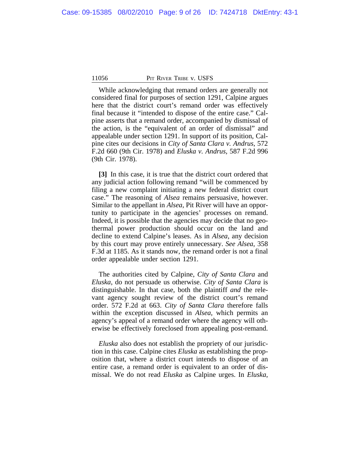While acknowledging that remand orders are generally not considered final for purposes of section 1291, Calpine argues here that the district court's remand order was effectively final because it "intended to dispose of the entire case." Calpine asserts that a remand order, accompanied by dismissal of the action, is the "equivalent of an order of dismissal" and appealable under section 1291. In support of its position, Calpine cites our decisions in *City of Santa Clara v. Andrus*, 572 F.2d 660 (9th Cir. 1978) and *Eluska v. Andrus*, 587 F.2d 996 (9th Cir. 1978).

**[3]** In this case, it is true that the district court ordered that any judicial action following remand "will be commenced by filing a new complaint initiating a new federal district court case." The reasoning of *Alsea* remains persuasive, however. Similar to the appellant in *Alsea*, Pit River will have an opportunity to participate in the agencies' processes on remand. Indeed, it is possible that the agencies may decide that no geothermal power production should occur on the land and decline to extend Calpine's leases. As in *Alsea*, any decision by this court may prove entirely unnecessary. *See Alsea*, 358 F.3d at 1185. As it stands now, the remand order is not a final order appealable under section 1291.

The authorities cited by Calpine, *City of Santa Clara* and *Eluska*, do not persuade us otherwise. *City of Santa Clara* is distinguishable. In that case, both the plaintiff *and* the relevant agency sought review of the district court's remand order. 572 F.2d at 663. *City of Santa Clara* therefore falls within the exception discussed in *Alsea*, which permits an agency's appeal of a remand order where the agency will otherwise be effectively foreclosed from appealing post-remand.

*Eluska* also does not establish the propriety of our jurisdiction in this case. Calpine cites *Eluska* as establishing the proposition that, where a district court intends to dispose of an entire case, a remand order is equivalent to an order of dismissal. We do not read *Eluska* as Calpine urges. In *Eluska*,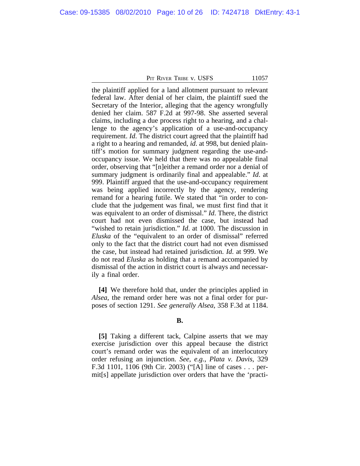the plaintiff applied for a land allotment pursuant to relevant federal law. After denial of her claim, the plaintiff sued the Secretary of the Interior, alleging that the agency wrongfully denied her claim. 587 F.2d at 997-98. She asserted several claims, including a due process right to a hearing, and a challenge to the agency's application of a use-and-occupancy requirement. *Id*. The district court agreed that the plaintiff had a right to a hearing and remanded, *id*. at 998, but denied plaintiff's motion for summary judgment regarding the use-andoccupancy issue. We held that there was no appealable final order, observing that "[n]either a remand order nor a denial of summary judgment is ordinarily final and appealable." *Id*. at 999. Plaintiff argued that the use-and-occupancy requirement was being applied incorrectly by the agency, rendering remand for a hearing futile. We stated that "in order to conclude that the judgement was final, we must first find that it was equivalent to an order of dismissal." *Id*. There, the district court had not even dismissed the case, but instead had "wished to retain jurisdiction." *Id*. at 1000. The discussion in *Eluska* of the "equivalent to an order of dismissal" referred only to the fact that the district court had not even dismissed the case, but instead had retained jurisdiction. *Id*. at 999. We do not read *Eluska* as holding that a remand accompanied by dismissal of the action in district court is always and necessarily a final order.

**[4]** We therefore hold that, under the principles applied in *Alsea*, the remand order here was not a final order for purposes of section 1291. *See generally Alsea*, 358 F.3d at 1184.

### **B.**

**[5]** Taking a different tack, Calpine asserts that we may exercise jurisdiction over this appeal because the district court's remand order was the equivalent of an interlocutory order refusing an injunction. *See, e.g.*, *Plata v. Davis*, 329 F.3d 1101, 1106 (9th Cir. 2003) ("[A] line of cases . . . permit[s] appellate jurisdiction over orders that have the 'practi-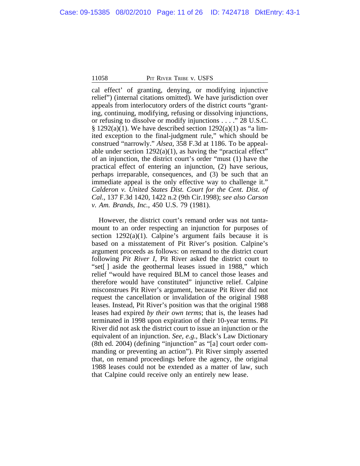cal effect' of granting, denying, or modifying injunctive relief") (internal citations omitted). We have jurisdiction over appeals from interlocutory orders of the district courts "granting, continuing, modifying, refusing or dissolving injunctions, or refusing to dissolve or modify injunctions . . . ." 28 U.S.C.  $§ 1292(a)(1)$ . We have described section  $1292(a)(1)$  as "a limited exception to the final-judgment rule," which should be construed "narrowly." *Alsea*, 358 F.3d at 1186. To be appealable under section 1292(a)(1), as having the "practical effect" of an injunction, the district court's order "must (1) have the practical effect of entering an injunction, (2) have serious, perhaps irreparable, consequences, and (3) be such that an immediate appeal is the only effective way to challenge it." *Calderon v. United States Dist. Court for the Cent. Dist. of Cal.*, 137 F.3d 1420, 1422 n.2 (9th Cir.1998); *see also Carson v. Am. Brands, Inc.*, 450 U.S. 79 (1981).

However, the district court's remand order was not tantamount to an order respecting an injunction for purposes of section  $1292(a)(1)$ . Calpine's argument fails because it is based on a misstatement of Pit River's position. Calpine's argument proceeds as follows: on remand to the district court following *Pit River I*, Pit River asked the district court to "set[ ] aside the geothermal leases issued in 1988," which relief "would have required BLM to cancel those leases and therefore would have constituted" injunctive relief. Calpine misconstrues Pit River's argument, because Pit River did not request the cancellation or invalidation of the original 1988 leases. Instead, Pit River's position was that the original 1988 leases had expired *by their own terms*; that is, the leases had terminated in 1998 upon expiration of their 10-year terms. Pit River did not ask the district court to issue an injunction or the equivalent of an injunction. *See, e.g.*, Black's Law Dictionary (8th ed. 2004) (defining "injunction" as "[a] court order commanding or preventing an action"). Pit River simply asserted that, on remand proceedings before the agency, the original 1988 leases could not be extended as a matter of law, such that Calpine could receive only an entirely new lease.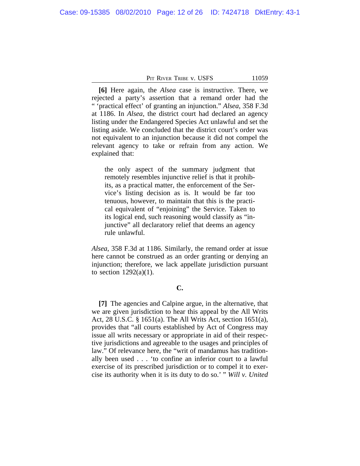**[6]** Here again, the *Alsea* case is instructive. There, we rejected a party's assertion that a remand order had the " 'practical effect' of granting an injunction." *Alsea*, 358 F.3d at 1186. In *Alsea*, the district court had declared an agency listing under the Endangered Species Act unlawful and set the listing aside. We concluded that the district court's order was not equivalent to an injunction because it did not compel the relevant agency to take or refrain from any action. We explained that:

the only aspect of the summary judgment that remotely resembles injunctive relief is that it prohibits, as a practical matter, the enforcement of the Service's listing decision as is. It would be far too tenuous, however, to maintain that this is the practical equivalent of "enjoining" the Service. Taken to its logical end, such reasoning would classify as "injunctive" all declaratory relief that deems an agency rule unlawful.

*Alsea*, 358 F.3d at 1186. Similarly, the remand order at issue here cannot be construed as an order granting or denying an injunction; therefore, we lack appellate jurisdiction pursuant to section  $1292(a)(1)$ .

#### **C.**

**[7]** The agencies and Calpine argue, in the alternative, that we are given jurisdiction to hear this appeal by the All Writs Act, 28 U.S.C. § 1651(a). The All Writs Act, section 1651(a), provides that "all courts established by Act of Congress may issue all writs necessary or appropriate in aid of their respective jurisdictions and agreeable to the usages and principles of law." Of relevance here, the "writ of mandamus has traditionally been used . . . 'to confine an inferior court to a lawful exercise of its prescribed jurisdiction or to compel it to exercise its authority when it is its duty to do so.' " *Will v. United*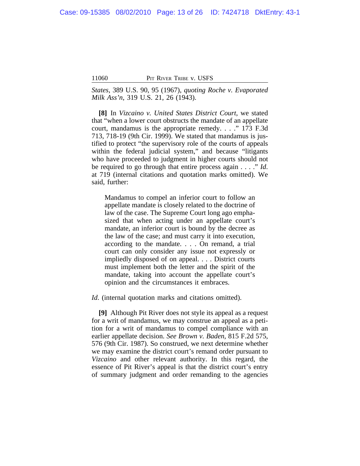*States*, 389 U.S. 90, 95 (1967), *quoting Roche v. Evaporated Milk Ass'n*, 319 U.S. 21, 26 (1943).

**[8]** In *Vizcaino v. United States District Court*, we stated that "when a lower court obstructs the mandate of an appellate court, mandamus is the appropriate remedy. . . ." 173 F.3d 713, 718-19 (9th Cir. 1999). We stated that mandamus is justified to protect "the supervisory role of the courts of appeals within the federal judicial system," and because "litigants" who have proceeded to judgment in higher courts should not be required to go through that entire process again . . . ." *Id*. at 719 (internal citations and quotation marks omitted). We said, further:

Mandamus to compel an inferior court to follow an appellate mandate is closely related to the doctrine of law of the case. The Supreme Court long ago emphasized that when acting under an appellate court's mandate, an inferior court is bound by the decree as the law of the case; and must carry it into execution, according to the mandate. . . . On remand, a trial court can only consider any issue not expressly or impliedly disposed of on appeal. . . . District courts must implement both the letter and the spirit of the mandate, taking into account the appellate court's opinion and the circumstances it embraces.

*Id*. (internal quotation marks and citations omitted).

**[9]** Although Pit River does not style its appeal as a request for a writ of mandamus, we may construe an appeal as a petition for a writ of mandamus to compel compliance with an earlier appellate decision. *See Brown v. Baden*, 815 F.2d 575, 576 (9th Cir. 1987). So construed, we next determine whether we may examine the district court's remand order pursuant to *Vizcaino* and other relevant authority. In this regard, the essence of Pit River's appeal is that the district court's entry of summary judgment and order remanding to the agencies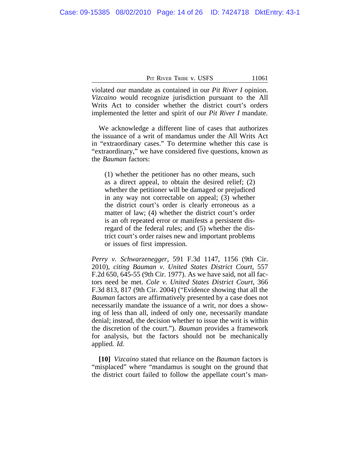| PIT RIVER TRIBE V. USFS |  |
|-------------------------|--|
|-------------------------|--|

violated our mandate as contained in our *Pit River I* opinion. *Vizcaino* would recognize jurisdiction pursuant to the All Writs Act to consider whether the district court's orders implemented the letter and spirit of our *Pit River I* mandate.

We acknowledge a different line of cases that authorizes the issuance of a writ of mandamus under the All Writs Act in "extraordinary cases." To determine whether this case is "extraordinary," we have considered five questions, known as the *Bauman* factors:

(1) whether the petitioner has no other means, such as a direct appeal, to obtain the desired relief; (2) whether the petitioner will be damaged or prejudiced in any way not correctable on appeal; (3) whether the district court's order is clearly erroneous as a matter of law; (4) whether the district court's order is an oft repeated error or manifests a persistent disregard of the federal rules; and (5) whether the district court's order raises new and important problems or issues of first impression.

*Perry v. Schwarzenegger*, 591 F.3d 1147, 1156 (9th Cir. 2010), *citing Bauman v. United States District Court*, 557 F.2d 650, 645-55 (9th Cir. 1977). As we have said, not all factors need be met. *Cole v. United States District Court*, 366 F.3d 813, 817 (9th Cir. 2004) ("Evidence showing that all the *Bauman* factors are affirmatively presented by a case does not necessarily mandate the issuance of a writ, nor does a showing of less than all, indeed of only one, necessarily mandate denial; instead, the decision whether to issue the writ is within the discretion of the court."). *Bauman* provides a framework for analysis, but the factors should not be mechanically applied. *Id.*

**[10]** *Vizcaino* stated that reliance on the *Bauman* factors is "misplaced" where "mandamus is sought on the ground that the district court failed to follow the appellate court's man-

11061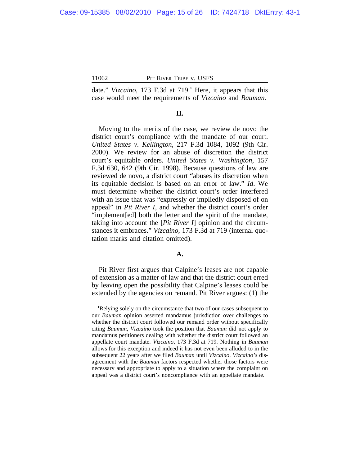date." *Vizcaino*, 173 F.3d at 719.**<sup>1</sup>** Here, it appears that this case would meet the requirements of *Vizcaino* and *Bauman*.

### **II.**

Moving to the merits of the case, we review de novo the district court's compliance with the mandate of our court. *United States v. Kellington*, 217 F.3d 1084, 1092 (9th Cir. 2000). We review for an abuse of discretion the district court's equitable orders. *United States v. Washington*, 157 F.3d 630, 642 (9th Cir. 1998). Because questions of law are reviewed de novo, a district court "abuses its discretion when its equitable decision is based on an error of law." *Id*. We must determine whether the district court's order interfered with an issue that was "expressly or impliedly disposed of on appeal" in *Pit River I*, and whether the district court's order "implement[ed] both the letter and the spirit of the mandate, taking into account the [*Pit River I*] opinion and the circumstances it embraces." *Vizcaino*, 173 F.3d at 719 (internal quotation marks and citation omitted).

#### **A.**

Pit River first argues that Calpine's leases are not capable of extension as a matter of law and that the district court erred by leaving open the possibility that Calpine's leases could be extended by the agencies on remand. Pit River argues: (1) the

**<sup>1</sup>**Relying solely on the circumstance that two of our cases subsequent to our *Bauman* opinion asserted mandamus jurisdiction over challenges to whether the district court followed our remand order without specifically citing *Bauman*, *Vizcaino* took the position that *Bauman* did not apply to mandamus petitioners dealing with whether the district court followed an appellate court mandate. *Vizcaino*, 173 F.3d at 719. Nothing in *Bauman* allows for this exception and indeed it has not even been alluded to in the subsequent 22 years after we filed *Bauman* until *Vizcaino*. *Vizcaino's* disagreement with the *Bauman* factors respected whether those factors were necessary and appropriate to apply to a situation where the complaint on appeal was a district court's noncompliance with an appellate mandate.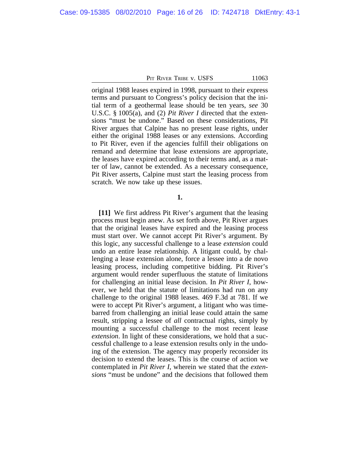original 1988 leases expired in 1998, pursuant to their express terms and pursuant to Congress's policy decision that the initial term of a geothermal lease should be ten years, *see* 30 U.S.C. § 1005(a), and (2) *Pit River I* directed that the extensions "must be undone." Based on these considerations, Pit River argues that Calpine has no present lease rights, under either the original 1988 leases or any extensions. According to Pit River, even if the agencies fulfill their obligations on remand and determine that lease extensions are appropriate, the leases have expired according to their terms and, as a matter of law, cannot be extended. As a necessary consequence, Pit River asserts, Calpine must start the leasing process from scratch. We now take up these issues.

### **1.**

**[11]** We first address Pit River's argument that the leasing process must begin anew. As set forth above, Pit River argues that the original leases have expired and the leasing process must start over. We cannot accept Pit River's argument. By this logic, any successful challenge to a lease *extension* could undo an entire lease relationship. A litigant could, by challenging a lease extension alone, force a lessee into a de novo leasing process, including competitive bidding. Pit River's argument would render superfluous the statute of limitations for challenging an initial lease decision. In *Pit River I*, however, we held that the statute of limitations had run on any challenge to the original 1988 leases. 469 F.3d at 781. If we were to accept Pit River's argument, a litigant who was timebarred from challenging an initial lease could attain the same result, stripping a lessee of *all* contractual rights, simply by mounting a successful challenge to the most recent lease *extension*. In light of these considerations, we hold that a successful challenge to a lease extension results only in the undoing of the extension. The agency may properly reconsider its decision to extend the leases. This is the course of action we contemplated in *Pit River I*, wherein we stated that the *extensions* "must be undone" and the decisions that followed them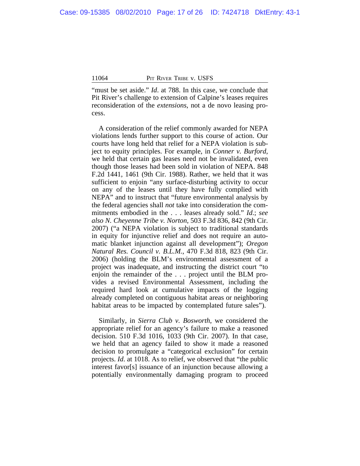"must be set aside." *Id.* at 788. In this case, we conclude that Pit River's challenge to extension of Calpine's leases requires reconsideration of the *extensions*, not a de novo leasing process.

A consideration of the relief commonly awarded for NEPA violations lends further support to this course of action. Our courts have long held that relief for a NEPA violation is subject to equity principles. For example, in *Conner v. Burford*, we held that certain gas leases need not be invalidated, even though those leases had been sold in violation of NEPA. 848 F.2d 1441, 1461 (9th Cir. 1988). Rather, we held that it was sufficient to enjoin "any surface-disturbing activity to occur on any of the leases until they have fully complied with NEPA" and to instruct that "future environmental analysis by the federal agencies shall *not* take into consideration the commitments embodied in the . . . leases already sold." *Id*.; *see also N. Cheyenne Tribe v. Norton*, 503 F.3d 836, 842 (9th Cir. 2007) ("a NEPA violation is subject to traditional standards in equity for injunctive relief and does not require an automatic blanket injunction against all development"); *Oregon Natural Res. Council v. B.L.M.*, 470 F.3d 818, 823 (9th Cir. 2006) (holding the BLM's environmental assessment of a project was inadequate, and instructing the district court "to enjoin the remainder of the . . . project until the BLM provides a revised Environmental Assessment, including the required hard look at cumulative impacts of the logging already completed on contiguous habitat areas or neighboring habitat areas to be impacted by contemplated future sales").

Similarly, in *Sierra Club v. Bosworth*, we considered the appropriate relief for an agency's failure to make a reasoned decision. 510 F.3d 1016, 1033 (9th Cir. 2007). In that case, we held that an agency failed to show it made a reasoned decision to promulgate a "categorical exclusion" for certain projects. *Id*. at 1018. As to relief, we observed that "the public interest favor[s] issuance of an injunction because allowing a potentially environmentally damaging program to proceed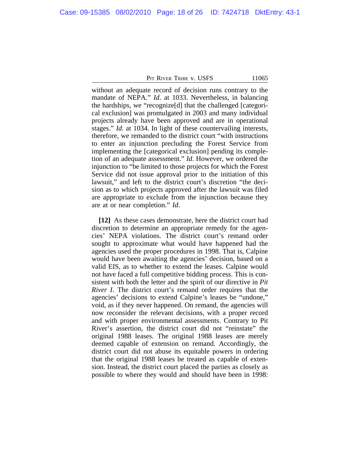without an adequate record of decision runs contrary to the mandate of NEPA." *Id*. at 1033. Nevertheless, in balancing the hardships, we "recognize[d] that the challenged [categorical exclusion] was promulgated in 2003 and many individual projects already have been approved and are in operational stages." *Id.* at 1034. In light of these countervailing interests, therefore, we remanded to the district court "with instructions to enter an injunction precluding the Forest Service from implementing the [categorical exclusion] pending its completion of an adequate assessment." *Id*. However, we ordered the injunction to "be limited to those projects for which the Forest Service did not issue approval prior to the initiation of this lawsuit," and left to the district court's discretion "the decision as to which projects approved after the lawsuit was filed are appropriate to exclude from the injunction because they are at or near completion." *Id*.

**[12]** As these cases demonstrate, here the district court had discretion to determine an appropriate remedy for the agencies' NEPA violations. The district court's remand order sought to approximate what would have happened had the agencies used the proper procedures in 1998. That is, Calpine would have been awaiting the agencies' decision, based on a valid EIS, as to whether to extend the leases. Calpine would not have faced a full competitive bidding process. This is consistent with both the letter and the spirit of our directive in *Pit River I*. The district court's remand order requires that the agencies' decisions to extend Calpine's leases be "undone," void, as if they never happened. On remand, the agencies will now reconsider the relevant decisions, with a proper record and with proper environmental assessments. Contrary to Pit River's assertion, the district court did not "reinstate" the original 1988 leases. The original 1988 leases are merely deemed capable of extension on remand. Accordingly, the district court did not abuse its equitable powers in ordering that the original 1988 leases be treated as capable of extension. Instead, the district court placed the parties as closely as possible to where they would and should have been in 1998: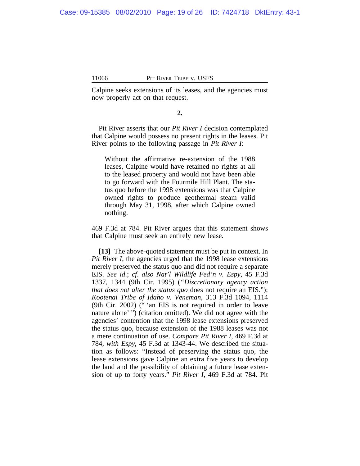Calpine seeks extensions of its leases, and the agencies must now properly act on that request.

### **2.**

Pit River asserts that our *Pit River I* decision contemplated that Calpine would possess no present rights in the leases. Pit River points to the following passage in *Pit River I*:

Without the affirmative re-extension of the 1988 leases, Calpine would have retained no rights at all to the leased property and would not have been able to go forward with the Fourmile Hill Plant. The status quo before the 1998 extensions was that Calpine owned rights to produce geothermal steam valid through May 31, 1998, after which Calpine owned nothing.

469 F.3d at 784. Pit River argues that this statement shows that Calpine must seek an entirely new lease.

**[13]** The above-quoted statement must be put in context. In *Pit River I*, the agencies urged that the 1998 lease extensions merely preserved the status quo and did not require a separate EIS. *See id*.; *cf*. *also Nat'l Wildlife Fed'n v. Espy*, 45 F.3d 1337, 1344 (9th Cir. 1995) (*"Discretionary agency action that does not alter the status quo does not require an EIS."); Kootenai Tribe of Idaho v. Veneman*, 313 F.3d 1094, 1114 (9th Cir. 2002) (" 'an EIS is not required in order to leave nature alone' ") (citation omitted). We did not agree with the agencies' contention that the 1998 lease extensions preserved the status quo, because extension of the 1988 leases was not a mere continuation of use. *Compare Pit River I*, 469 F.3d at 784, *with Espy*, 45 F.3d at 1343-44. We described the situation as follows: "Instead of preserving the status quo, the lease extensions gave Calpine an extra five years to develop the land and the possibility of obtaining a future lease extension of up to forty years." *Pit River I*, 469 F.3d at 784. Pit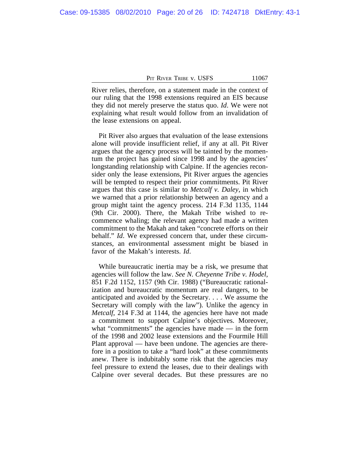River relies, therefore, on a statement made in the context of our ruling that the 1998 extensions required an EIS because they did not merely preserve the status quo. *Id*. We were not explaining what result would follow from an invalidation of the lease extensions on appeal.

Pit River also argues that evaluation of the lease extensions alone will provide insufficient relief, if any at all. Pit River argues that the agency process will be tainted by the momentum the project has gained since 1998 and by the agencies' longstanding relationship with Calpine. If the agencies reconsider only the lease extensions, Pit River argues the agencies will be tempted to respect their prior commitments. Pit River argues that this case is similar to *Metcalf v. Daley*, in which we warned that a prior relationship between an agency and a group might taint the agency process. 214 F.3d 1135, 1144 (9th Cir. 2000). There, the Makah Tribe wished to recommence whaling; the relevant agency had made a written commitment to the Makah and taken "concrete efforts on their behalf." *Id*. We expressed concern that, under these circumstances, an environmental assessment might be biased in favor of the Makah's interests. *Id*.

While bureaucratic inertia may be a risk, we presume that agencies will follow the law. *See N. Cheyenne Tribe v. Hodel*, 851 F.2d 1152, 1157 (9th Cir. 1988) ("Bureaucratic rationalization and bureaucratic momentum are real dangers, to be anticipated and avoided by the Secretary. . . . We assume the Secretary will comply with the law"). Unlike the agency in *Metcalf*, 214 F.3d at 1144, the agencies here have not made a commitment to support Calpine's objectives. Moreover, what "commitments" the agencies have made — in the form of the 1998 and 2002 lease extensions and the Fourmile Hill Plant approval — have been undone. The agencies are therefore in a position to take a "hard look" at these commitments anew. There is indubitably some risk that the agencies may feel pressure to extend the leases, due to their dealings with Calpine over several decades. But these pressures are no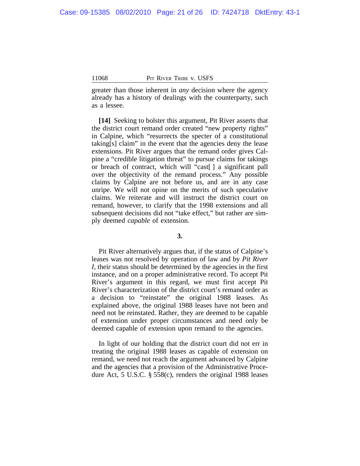greater than those inherent in *any* decision where the agency already has a history of dealings with the counterparty, such as a lessee.

**[14]** Seeking to bolster this argument, Pit River asserts that the district court remand order created "new property rights" in Calpine, which "resurrects the specter of a constitutional taking[s] claim" in the event that the agencies deny the lease extensions. Pit River argues that the remand order gives Calpine a "credible litigation threat" to pursue claims for takings or breach of contract, which will "cast[ ] a significant pall over the objectivity of the remand process." Any possible claims by Calpine are not before us, and are in any case unripe. We will not opine on the merits of such speculative claims. We reiterate and will instruct the district court on remand, however, to clarify that the 1998 extensions and all subsequent decisions did not "take effect," but rather are simply deemed *capable* of extension.

### **3.**

Pit River alternatively argues that, if the status of Calpine's leases was not resolved by operation of law and by *Pit River I*, their status should be determined by the agencies in the first instance, and on a proper administrative record. To accept Pit River's argument in this regard, we must first accept Pit River's characterization of the district court's remand order as a decision to "reinstate" the original 1988 leases. As explained above, the original 1988 leases have not been and need not be reinstated. Rather, they are deemed to be capable of extension under proper circumstances and need only be deemed capable of extension upon remand to the agencies.

In light of our holding that the district court did not err in treating the original 1988 leases as capable of extension on remand, we need not reach the argument advanced by Calpine and the agencies that a provision of the Administrative Procedure Act, 5 U.S.C. § 558(c), renders the original 1988 leases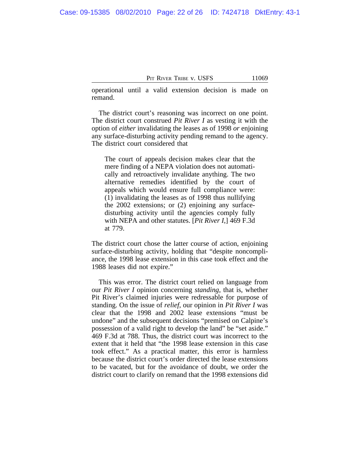operational until a valid extension decision is made on remand.

The district court's reasoning was incorrect on one point. The district court construed *Pit River I* as vesting it with the option of *either* invalidating the leases as of 1998 *or* enjoining any surface-disturbing activity pending remand to the agency. The district court considered that

The court of appeals decision makes clear that the mere finding of a NEPA violation does not automatically and retroactively invalidate anything. The two alternative remedies identified by the court of appeals which would ensure full compliance were: (1) invalidating the leases as of 1998 thus nullifying the 2002 extensions; or (2) enjoining any surfacedisturbing activity until the agencies comply fully with NEPA and other statutes. [*Pit River I*,] 469 F.3d at 779.

The district court chose the latter course of action, enjoining surface-disturbing activity, holding that "despite noncompliance, the 1998 lease extension in this case took effect and the 1988 leases did not expire."

This was error. The district court relied on language from our *Pit River I* opinion concerning *standing*, that is, whether Pit River's claimed injuries were redressable for purpose of standing. On the issue of *relief*, our opinion in *Pit River I* was clear that the 1998 and 2002 lease extensions "must be undone" and the subsequent decisions "premised on Calpine's possession of a valid right to develop the land" be "set aside." 469 F.3d at 788. Thus, the district court was incorrect to the extent that it held that "the 1998 lease extension in this case took effect." As a practical matter, this error is harmless because the district court's order directed the lease extensions to be vacated, but for the avoidance of doubt, we order the district court to clarify on remand that the 1998 extensions did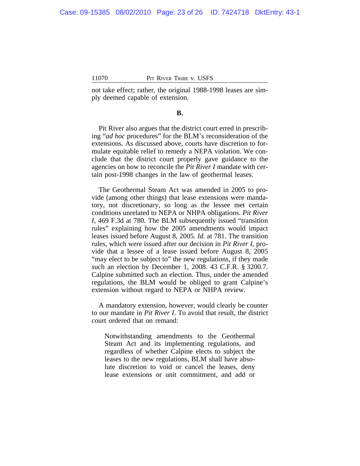not take effect; rather, the original 1988-1998 leases are simply deemed capable of extension.

### **B.**

Pit River also argues that the district court erred in prescribing "*ad hoc* procedures" for the BLM's reconsideration of the extensions. As discussed above, courts have discretion to formulate equitable relief to remedy a NEPA violation. We conclude that the district court properly gave guidance to the agencies on how to reconcile the *Pit River I* mandate with certain post-1998 changes in the law of geothermal leases.

The Geothermal Steam Act was amended in 2005 to provide (among other things) that lease extensions were mandatory, not discretionary, so long as the lessee met certain conditions unrelated to NEPA or NHPA obligations. *Pit River I*, 469 F.3d at 780. The BLM subsequently issued "transition rules" explaining how the 2005 amendments would impact leases issued before August 8, 2005*. Id.* at 781. The transition rules, which were issued after our decision in *Pit River I*, provide that a lessee of a lease issued before August 8, 2005 "may elect to be subject to" the new regulations, if they made such an election by December 1, 2008. 43 C.F.R. § 3200.7. Calpine submitted such an election. Thus, under the amended regulations, the BLM would be obliged to grant Calpine's extension without regard to NEPA or NHPA review.

A mandatory extension, however, would clearly be counter to our mandate in *Pit River I*. To avoid that result, the district court ordered that on remand:

Notwithstanding amendments to the Geothermal Steam Act and its implementing regulations, and regardless of whether Calpine elects to subject the leases to the new regulations, BLM shall have absolute discretion to void or cancel the leases, deny lease extensions or unit commitment, and add or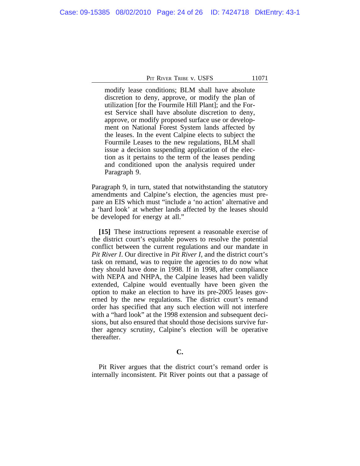modify lease conditions; BLM shall have absolute discretion to deny, approve, or modify the plan of utilization [for the Fourmile Hill Plant]; and the Forest Service shall have absolute discretion to deny, approve, or modify proposed surface use or development on National Forest System lands affected by the leases. In the event Calpine elects to subject the Fourmile Leases to the new regulations, BLM shall issue a decision suspending application of the election as it pertains to the term of the leases pending and conditioned upon the analysis required under Paragraph 9.

Paragraph 9, in turn, stated that notwithstanding the statutory amendments and Calpine's election, the agencies must prepare an EIS which must "include a 'no action' alternative and a 'hard look' at whether lands affected by the leases should be developed for energy at all."

**[15]** These instructions represent a reasonable exercise of the district court's equitable powers to resolve the potential conflict between the current regulations and our mandate in *Pit River I*. Our directive in *Pit River I*, and the district court's task on remand, was to require the agencies to do now what they should have done in 1998. If in 1998, after compliance with NEPA and NHPA, the Calpine leases had been validly extended, Calpine would eventually have been given the option to make an election to have its pre-2005 leases governed by the new regulations. The district court's remand order has specified that any such election will not interfere with a "hard look" at the 1998 extension and subsequent decisions, but also ensured that should those decisions survive further agency scrutiny, Calpine's election will be operative thereafter.

#### **C.**

Pit River argues that the district court's remand order is internally inconsistent. Pit River points out that a passage of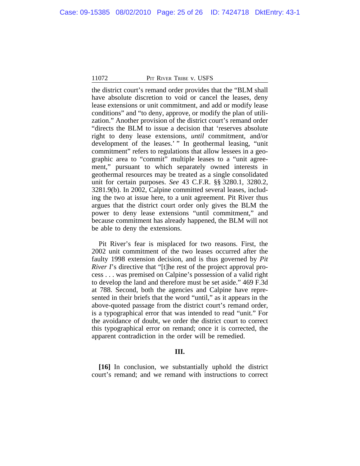the district court's remand order provides that the "BLM shall have absolute discretion to void or cancel the leases, deny lease extensions or unit commitment, and add or modify lease conditions" and "to deny, approve, or modify the plan of utilization." Another provision of the district court's remand order "directs the BLM to issue a decision that 'reserves absolute right to deny lease extensions, *until* commitment, and/or development of the leases.' " In geothermal leasing, "unit" commitment" refers to regulations that allow lessees in a geographic area to "commit" multiple leases to a "unit agreement," pursuant to which separately owned interests in geothermal resources may be treated as a single consolidated unit for certain purposes. *See* 43 C.F.R. §§ 3280.1, 3280.2, 3281.9(b). In 2002, Calpine committed several leases, including the two at issue here, to a unit agreement. Pit River thus argues that the district court order only gives the BLM the power to deny lease extensions "until commitment," and because commitment has already happened, the BLM will not be able to deny the extensions.

Pit River's fear is misplaced for two reasons. First, the 2002 unit commitment of the two leases occurred after the faulty 1998 extension decision, and is thus governed by *Pit River I*'s directive that "[t]he rest of the project approval process . . . was premised on Calpine's possession of a valid right to develop the land and therefore must be set aside." 469 F.3d at 788. Second, both the agencies and Calpine have represented in their briefs that the word "until," as it appears in the above-quoted passage from the district court's remand order, is a typographical error that was intended to read "unit." For the avoidance of doubt, we order the district court to correct this typographical error on remand; once it is corrected, the apparent contradiction in the order will be remedied.

#### **III.**

**[16]** In conclusion, we substantially uphold the district court's remand; and we remand with instructions to correct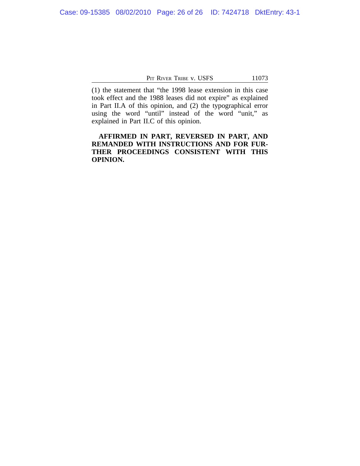(1) the statement that "the 1998 lease extension in this case took effect and the 1988 leases did not expire" as explained in Part II.A of this opinion, and (2) the typographical error using the word "until" instead of the word "unit," as explained in Part II.C of this opinion.

**AFFIRMED IN PART, REVERSED IN PART, AND REMANDED WITH INSTRUCTIONS AND FOR FUR-THER PROCEEDINGS CONSISTENT WITH THIS OPINION.**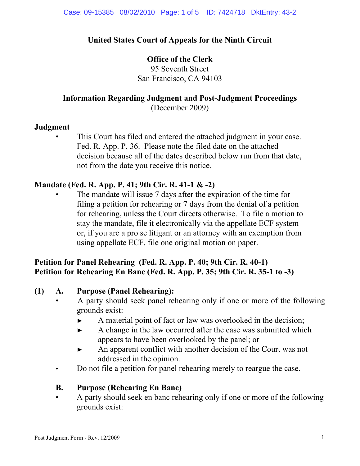## **United States Court of Appeals for the Ninth Circuit**

### **Office of the Clerk**

95 Seventh Street San Francisco, CA 94103

# **Information Regarding Judgment and Post-Judgment Proceedings**

(December 2009)

### **Judgment**

This Court has filed and entered the attached judgment in your case. Fed. R. App. P. 36. Please note the filed date on the attached decision because all of the dates described below run from that date, not from the date you receive this notice.

## **Mandate (Fed. R. App. P. 41; 9th Cir. R. 41-1 & -2)**

The mandate will issue 7 days after the expiration of the time for filing a petition for rehearing or 7 days from the denial of a petition for rehearing, unless the Court directs otherwise. To file a motion to stay the mandate, file it electronically via the appellate ECF system or, if you are a pro se litigant or an attorney with an exemption from using appellate ECF, file one original motion on paper.

## **Petition for Panel Rehearing (Fed. R. App. P. 40; 9th Cir. R. 40-1) Petition for Rehearing En Banc (Fed. R. App. P. 35; 9th Cir. R. 35-1 to -3)**

## **(1) A. Purpose (Panel Rehearing):**

- A party should seek panel rehearing only if one or more of the following grounds exist:
	- ► A material point of fact or law was overlooked in the decision;
	- ► A change in the law occurred after the case was submitted which appears to have been overlooked by the panel; or
	- ► An apparent conflict with another decision of the Court was not addressed in the opinion.
- Do not file a petition for panel rehearing merely to reargue the case.

## **B. Purpose (Rehearing En Banc)**

 • A party should seek en banc rehearing only if one or more of the following grounds exist: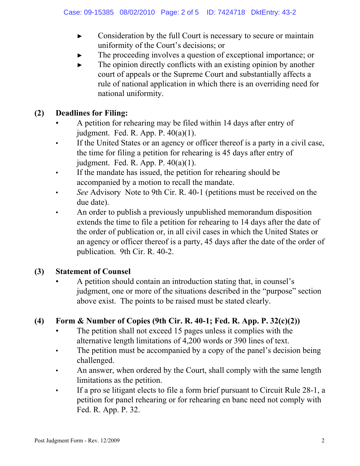- ► Consideration by the full Court is necessary to secure or maintain uniformity of the Court's decisions; or
- The proceeding involves a question of exceptional importance; or
- $\blacktriangleright$  The opinion directly conflicts with an existing opinion by another court of appeals or the Supreme Court and substantially affects a rule of national application in which there is an overriding need for national uniformity.

## **(2) Deadlines for Filing:**

- A petition for rehearing may be filed within 14 days after entry of judgment. Fed. R. App. P.  $40(a)(1)$ .
- If the United States or an agency or officer thereof is a party in a civil case, the time for filing a petition for rehearing is 45 days after entry of judgment. Fed. R. App. P. 40(a)(1).
- If the mandate has issued, the petition for rehearing should be accompanied by a motion to recall the mandate.
- *See* Advisory Note to 9th Cir. R. 40-1 (petitions must be received on the due date).
- An order to publish a previously unpublished memorandum disposition extends the time to file a petition for rehearing to 14 days after the date of the order of publication or, in all civil cases in which the United States or an agency or officer thereof is a party, 45 days after the date of the order of publication. 9th Cir. R. 40-2.

## **(3) Statement of Counsel**

 • A petition should contain an introduction stating that, in counsel's judgment, one or more of the situations described in the "purpose" section above exist. The points to be raised must be stated clearly.

## **(4) Form & Number of Copies (9th Cir. R. 40-1; Fed. R. App. P. 32(c)(2))**

- The petition shall not exceed 15 pages unless it complies with the alternative length limitations of 4,200 words or 390 lines of text.
- The petition must be accompanied by a copy of the panel's decision being challenged.
- An answer, when ordered by the Court, shall comply with the same length limitations as the petition.
- If a pro se litigant elects to file a form brief pursuant to Circuit Rule 28-1, a petition for panel rehearing or for rehearing en banc need not comply with Fed. R. App. P. 32.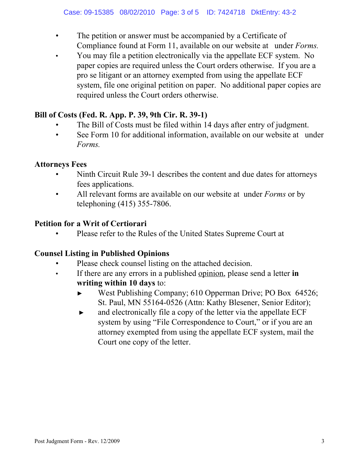- The petition or answer must be accompanied by a Certificate of Compliance found at Form 11, available on our website at under *Forms.*
- You may file a petition electronically via the appellate ECF system. No paper copies are required unless the Court orders otherwise. If you are a pro se litigant or an attorney exempted from using the appellate ECF system, file one original petition on paper. No additional paper copies are required unless the Court orders otherwise.

## **Bill of Costs (Fed. R. App. P. 39, 9th Cir. R. 39-1)**

- The Bill of Costs must be filed within 14 days after entry of judgment.
- See Form 10 for additional information, available on our website at under *Forms.*

## **Attorneys Fees**

- Ninth Circuit Rule 39-1 describes the content and due dates for attorneys fees applications.
- All relevant forms are available on our website at under *Forms* or by telephoning (415) 355-7806.

## **Petition for a Writ of Certiorari**

• Please refer to the Rules of the United States Supreme Court at

## **Counsel Listing in Published Opinions**

- Please check counsel listing on the attached decision.
- If there are any errors in a published opinion, please send a letter **in writing within 10 days** to:
	- ► West Publishing Company; 610 Opperman Drive; PO Box 64526; St. Paul, MN 55164-0526 (Attn: Kathy Blesener, Senior Editor);
	- ► and electronically file a copy of the letter via the appellate ECF system by using "File Correspondence to Court," or if you are an attorney exempted from using the appellate ECF system, mail the Court one copy of the letter.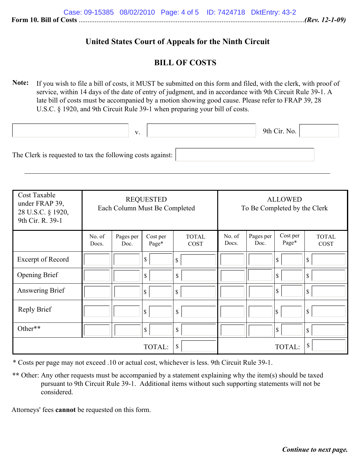### **United States Court of Appeals for the Ninth Circuit**

### **BILL OF COSTS**

**Note:** If you wish to file a bill of costs, it MUST be submitted on this form and filed, with the clerk, with proof of service, within 14 days of the date of entry of judgment, and in accordance with 9th Circuit Rule 39-1. A late bill of costs must be accompanied by a motion showing good cause. Please refer to FRAP 39, 28 U.S.C. § 1920, and 9th Circuit Rule 39-1 when preparing your bill of costs.

|                                                            | V. | 9th Cir. No. $\vert$ |  |
|------------------------------------------------------------|----|----------------------|--|
| The Clerk is requested to tax the following costs against: |    |                      |  |

| Cost Taxable<br>under FRAP 39,<br>28 U.S.C. § 1920,<br>9th Cir. R. 39-1 | <b>REQUESTED</b><br>Each Column Must Be Completed |                   | <b>ALLOWED</b><br>To Be Completed by the Clerk |                             |                 |                   |                          |                             |
|-------------------------------------------------------------------------|---------------------------------------------------|-------------------|------------------------------------------------|-----------------------------|-----------------|-------------------|--------------------------|-----------------------------|
|                                                                         | No. of<br>Docs.                                   | Pages per<br>Doc. | Cost per<br>Page*                              | <b>TOTAL</b><br><b>COST</b> | No. of<br>Docs. | Pages per<br>Doc. | Cost per<br>Page*        | <b>TOTAL</b><br><b>COST</b> |
| Excerpt of Record                                                       |                                                   |                   | \$                                             | \$                          |                 |                   | \$                       | \$                          |
| Opening Brief                                                           |                                                   |                   | \$                                             | \$                          |                 |                   | $\mathbf S$              | \$                          |
| Answering Brief                                                         |                                                   |                   | \$                                             | \$                          |                 |                   | $\mathbf S$              | \$                          |
| Reply Brief                                                             |                                                   |                   | \$                                             | \$                          |                 |                   | $\vert \mathbb{S} \vert$ | \$                          |
| Other**                                                                 |                                                   |                   | \$                                             | \$                          |                 |                   | 1\$                      | \$                          |
|                                                                         |                                                   |                   | TOTAL:                                         | \$.                         |                 |                   | TOTAL:                   | \$                          |

\* Costs per page may not exceed .10 or actual cost, whichever is less. 9th Circuit Rule 39-1.

\*\* Other: Any other requests must be accompanied by a statement explaining why the item(s) should be taxed pursuant to 9th Circuit Rule 39-1. Additional items without such supporting statements will not be considered.

Attorneys' fees **cannot** be requested on this form.